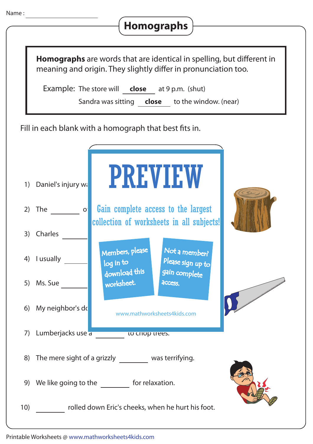| Name:    | <b>Homographs</b>                                                                                                                                                                                                                                                       |
|----------|-------------------------------------------------------------------------------------------------------------------------------------------------------------------------------------------------------------------------------------------------------------------------|
|          | <b>Homographs</b> are words that are identical in spelling, but different in<br>meaning and origin. They slightly differ in pronunciation too.<br><b>Example:</b> The store will <b>close</b> at 9 p.m. (shut)<br>Sandra was sitting <b>close</b> to the window. (near) |
|          | Fill in each blank with a homograph that best fits in.                                                                                                                                                                                                                  |
| 1)       | <b>PREVIEW</b><br>Daniel's injury wa                                                                                                                                                                                                                                    |
| 2)<br>3) | Gain complete access to the largest<br>The<br> O <br>collection of worksheets in all subjects!<br>Charles                                                                                                                                                               |
|          | Members, please<br>Not a member?<br>4) I usually<br>Please sign up to<br>log in to                                                                                                                                                                                      |
|          | download this<br>gain complete<br>worksheet.<br>access.<br>5) Ms. Sue                                                                                                                                                                                                   |
|          | 6) My neighbor's do<br>www.mathworksheets4kids.com                                                                                                                                                                                                                      |
|          | 7) Lumberjacks use a<br><b>CO CHOOD TEES.</b>                                                                                                                                                                                                                           |
|          | 8) The mere sight of a grizzly ________ was terrifying.                                                                                                                                                                                                                 |
|          | 9) We like going to the _________ for relaxation.                                                                                                                                                                                                                       |
| 10)      | rolled down Eric's cheeks, when he hurt his foot.                                                                                                                                                                                                                       |